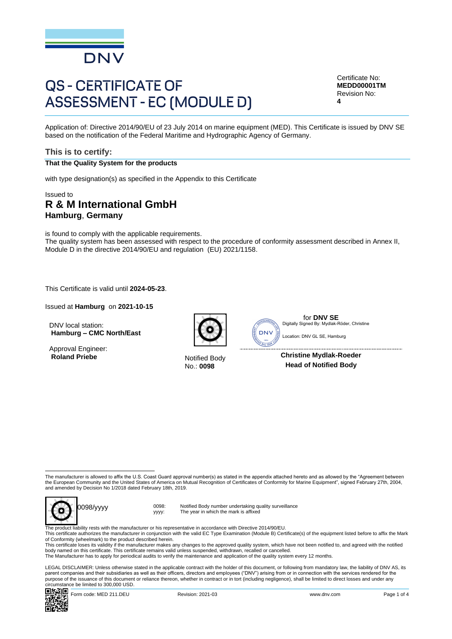

# **QS - CERTIFICATE OF ASSESSMENT - EC (MODULE D)**

Certificate No: **MEDD00001TM** Revision No: **4**

Application of: Directive 2014/90/EU of 23 July 2014 on marine equipment (MED). This Certificate is issued by DNV SE based on the notification of the Federal Maritime and Hydrographic Agency of Germany.

#### **This is to certify:**

#### **That the Quality System for the products**

with type designation(s) as specified in the Appendix to this Certificate

## Issued to **R & M International GmbH Hamburg**, **Germany**

is found to comply with the applicable requirements. The quality system has been assessed with respect to the procedure of conformity assessment described in Annex II, Module D in the directive 2014/90/EU and regulation (EU) 2021/1158.

This Certificate is valid until **2024-05-23**.

Issued at **Hamburg** on **2021-10-15**

DNV local station: **Hamburg – CMC North/East**

Approval Engineer:<br>Roland Priebe



**Notified Body** No.: **0098**



for **DNV SE** Digitally Signed By: Mydlak-Röder, Christine

 Location: DNV GL SE, Hamburg

**Christine Mydlak-Roeder Head of Notified Body**

The manufacturer is allowed to affix the U.S. Coast Guard approval number(s) as stated in the appendix attached hereto and as allowed by the "Agreement between the European Community and the United States of America on Mutual Recognition of Certificates of Conformity for Marine Equipment", signed February 27th, 2004,<br>and amended by Decision No 1/2018 dated February 18th, 2019.



yyyy:

Notified Body number undertaking quality surveillance The year in which the mark is affixed

The product liability rests with the manufacturer or his representative in accordance with Directive 2014/90/EU. This certificate authorizes the manufacturer in conjunction with the valid EC Type Examination (Module B) Certificate(s) of the equipment listed before to affix the Mark of Conformity (wheelmark) to the product described herein.

This certificate loses its validity if the manufacturer makes any changes to the approved quality system, which have not been notified to, and agreed with the notified body named on this certificate. This certificate remains valid unless suspended, withdrawn, recalled or cancelled.<br>The Manufacturer has to apply for periodical audits to verify the maintenance and application of the qualit

LEGAL DISCLAIMER: Unless otherwise stated in the applicable contract with the holder of this document, or following from mandatory law, the liability of DNV AS, its parent companies and their subsidiaries as well as their officers, directors and employees ("DNV") arising from or in connection with the services rendered for the purpose of the issuance of this document or reliance thereon, whether in contract or in tort (including negligence), shall be limited to direct losses and under any circumstance be limited to 300,000 USD.<br> $\Box$   $\ddot{r}$   $\dddot{r}$   $\dddot{r}$   $\Box$   $\dddot{r}$   $\Box$   $\dddot{r}$   $\Box$   $\dddot{r}$   $\Box$   $\dddot{r}$   $\dddot{r}$   $\dddot{r}$   $\dddot{r}$   $\dddot{r}$   $\dddot{r}$   $\dddot{r}$   $\dddot{r}$   $\dddot{r}$   $\dddot{r}$   $\dddot{r}$   $\dd$ 

Form code: MED 211.DEU Revision: 2021-03 www.dnv.com Page 1 of 4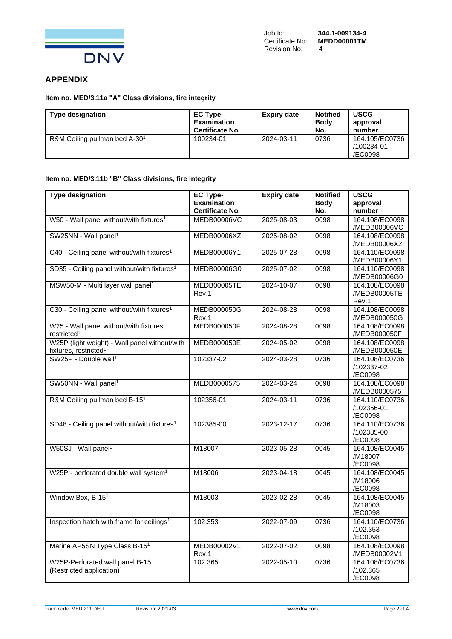

## **APPENDIX**

**Item no. MED/3.11a "A" Class divisions, fire integrity**

| <b>Type designation</b>                   | <b>EC Type-</b><br><b>Examination</b><br><b>Certificate No.</b> | <b>Expiry date</b> | <b>Notified</b><br><b>Body</b><br>No. | <b>USCG</b><br>approval<br>number       |
|-------------------------------------------|-----------------------------------------------------------------|--------------------|---------------------------------------|-----------------------------------------|
| R&M Ceiling pullman bed A-30 <sup>1</sup> | 100234-01                                                       | 2024-03-11         | 0736                                  | 164.105/EC0736<br>/100234-01<br>/EC0098 |

## **Item no. MED/3.11b "B" Class divisions, fire integrity**

| <b>Type designation</b>                                                            | <b>EC Type-</b><br><b>Examination</b><br><b>Certificate No.</b> | <b>Expiry date</b> | <b>Notified</b><br><b>Body</b><br>No. | <b>USCG</b><br>approval<br>number       |
|------------------------------------------------------------------------------------|-----------------------------------------------------------------|--------------------|---------------------------------------|-----------------------------------------|
| W50 - Wall panel without/with fixtures <sup>1</sup>                                | <b>MEDB00006VC</b>                                              | 2025-08-03         | 0098                                  | 164.108/EC0098<br>/MEDB00006VC          |
| SW25NN - Wall panel <sup>1</sup>                                                   | MEDB00006XZ                                                     | 2025-08-02         | 0098                                  | 164.108/EC0098<br>/MEDB00006XZ          |
| C40 - Ceiling panel without/with fixtures <sup>1</sup>                             | MEDB00006Y1                                                     | 2025-07-28         | 0098                                  | 164.110/EC0098<br>/MEDB00006Y1          |
| SD35 - Ceiling panel without/with fixtures <sup>1</sup>                            | MEDB00006G0                                                     | 2025-07-02         | 0098                                  | 164.110/EC0098<br>/MEDB00006G0          |
| MSW50-M - Multi layer wall panel <sup>1</sup>                                      | <b>MEDB00005TE</b><br>Rev.1                                     | 2024-10-07         | 0098                                  | 164.108/EC0098<br>/MEDB00005TE<br>Rev.1 |
| C30 - Ceiling panel without/with fixtures <sup>1</sup>                             | MEDB000050G<br>Rev.1                                            | 2024-08-28         | 0098                                  | 164.108/EC0098<br>/MEDB000050G          |
| W25 - Wall panel without/with fixtures,<br>restricted <sup>1</sup>                 | <b>MEDB000050F</b>                                              | 2024-08-28         | 0098                                  | 164.108/EC0098<br>/MEDB000050F          |
| W25P (light weight) - Wall panel without/with<br>fixtures, restricted <sup>1</sup> | <b>MEDB000050E</b>                                              | 2024-05-02         | 0098                                  | 164.108/EC0098<br>/MEDB000050E          |
| SW25P - Double wall <sup>1</sup>                                                   | 102337-02                                                       | 2024-03-28         | 0736                                  | 164.108/EC0736<br>/102337-02<br>/EC0098 |
| SW50NN - Wall panel <sup>1</sup>                                                   | MEDB0000575                                                     | 2024-03-24         | 0098                                  | 164.108/EC0098<br>/MEDB0000575          |
| R&M Ceiling pullman bed B-15 <sup>1</sup>                                          | 102356-01                                                       | 2024-03-11         | 0736                                  | 164.110/EC0736<br>/102356-01<br>/EC0098 |
| SD48 - Ceiling panel without/with fixtures <sup>1</sup>                            | 102385-00                                                       | 2023-12-17         | 0736                                  | 164.110/EC0736<br>/102385-00<br>/EC0098 |
| W50SJ - Wall panel <sup>1</sup>                                                    | M18007                                                          | 2023-05-28         | 0045                                  | 164.108/EC0045<br>/M18007<br>/EC0098    |
| W25P - perforated double wall system <sup>1</sup>                                  | M18006                                                          | 2023-04-18         | 0045                                  | 164.108/EC0045<br>/M18006<br>/EC0098    |
| Window Box, B-15 <sup>1</sup>                                                      | M18003                                                          | 2023-02-28         | 0045                                  | 164.108/EC0045<br>/M18003<br>/EC0098    |
| Inspection hatch with frame for ceilings <sup>1</sup>                              | 102.353                                                         | 2022-07-09         | 0736                                  | 164.110/EC0736<br>/102.353<br>/EC0098   |
| Marine AP5SN Type Class B-151                                                      | MEDB00002V1<br>Rev.1                                            | 2022-07-02         | 0098                                  | 164.108/EC0098<br>/MEDB00002V1          |
| W25P-Perforated wall panel B-15<br>(Restricted application) <sup>1</sup>           | 102.365                                                         | 2022-05-10         | 0736                                  | 164.108/EC0736<br>/102.365<br>/EC0098   |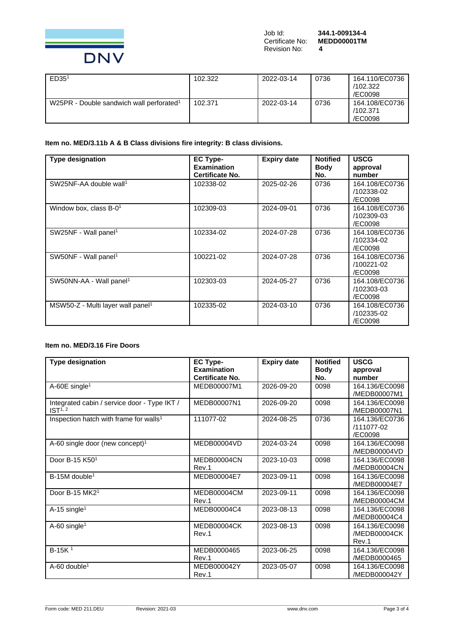

| ED35 <sup>1</sup>                                    | 102.322 | 2022-03-14 | 0736 | 164.110/EC0736<br>/102.322<br>/EC0098 |
|------------------------------------------------------|---------|------------|------|---------------------------------------|
| W25PR - Double sandwich wall perforated <sup>1</sup> | 102.371 | 2022-03-14 | 0736 | 164.108/EC0736<br>/102.371<br>/EC0098 |

**Item no. MED/3.11b A & B Class divisions fire integrity: B class divisions.**

| <b>Type designation</b>                       | <b>EC Type-</b><br><b>Examination</b><br><b>Certificate No.</b> | <b>Expiry date</b> | <b>Notified</b><br><b>Body</b><br>No. | <b>USCG</b><br>approval<br>number       |
|-----------------------------------------------|-----------------------------------------------------------------|--------------------|---------------------------------------|-----------------------------------------|
| SW25NF-AA double wall <sup>1</sup>            | 102338-02                                                       | 2025-02-26         | 0736                                  | 164.108/EC0736<br>/102338-02<br>/EC0098 |
| Window box, class $B-01$                      | 102309-03                                                       | 2024-09-01         | 0736                                  | 164.108/EC0736<br>/102309-03<br>/EC0098 |
| SW25NF - Wall panel <sup>1</sup>              | 102334-02                                                       | 2024-07-28         | 0736                                  | 164.108/EC0736<br>/102334-02<br>/EC0098 |
| SW50NF - Wall panel <sup>1</sup>              | 100221-02                                                       | 2024-07-28         | 0736                                  | 164.108/EC0736<br>/100221-02<br>/EC0098 |
| SW50NN-AA - Wall panel <sup>1</sup>           | 102303-03                                                       | 2024-05-27         | 0736                                  | 164.108/EC0736<br>/102303-03<br>/EC0098 |
| MSW50-Z - Multi layer wall panel <sup>1</sup> | 102335-02                                                       | 2024-03-10         | 0736                                  | 164.108/EC0736<br>/102335-02<br>/EC0098 |

## **Item no. MED/3.16 Fire Doors**

| <b>Type designation</b>                                             | <b>EC Type-</b><br><b>Examination</b><br>Certificate No. | <b>Expiry date</b> | <b>Notified</b><br><b>Body</b><br>No. | <b>USCG</b><br>approval<br>number       |
|---------------------------------------------------------------------|----------------------------------------------------------|--------------------|---------------------------------------|-----------------------------------------|
| A-60E single <sup>1</sup>                                           | MEDB00007M1                                              | 2026-09-20         | 0098                                  | 164.136/EC0098<br>/MEDB00007M1          |
| Integrated cabin / service door - Type IKT /<br>IST <sup>1, 2</sup> | MEDB00007N1                                              | 2026-09-20         | 0098                                  | 164.136/EC0098<br>/MEDB00007N1          |
| Inspection hatch with frame for walls <sup>1</sup>                  | 111077-02                                                | 2024-08-25         | 0736                                  | 164.136/EC0736<br>/111077-02<br>/EC0098 |
| A-60 single door (new concept) <sup>1</sup>                         | MEDB00004VD                                              | 2024-03-24         | 0098                                  | 164.136/EC0098<br>/MEDB00004VD          |
| Door B-15 K501                                                      | <b>MEDB00004CN</b><br>Rev.1                              | 2023-10-03         | 0098                                  | 164.136/EC0098<br>/MEDB00004CN          |
| $B-15M$ double <sup>1</sup>                                         | MEDB00004E7                                              | 2023-09-11         | 0098                                  | 164.136/EC0098<br>/MEDB00004E7          |
| Door B-15 MK2 <sup>1</sup>                                          | MEDB00004CM<br>Rev.1                                     | 2023-09-11         | 0098                                  | 164.136/EC0098<br>/MEDB00004CM          |
| $A-15$ single <sup>1</sup>                                          | MEDB00004C4                                              | 2023-08-13         | 0098                                  | 164.136/EC0098<br>/MEDB00004C4          |
| A-60 single <sup>1</sup>                                            | MEDB00004CK<br>Rev.1                                     | 2023-08-13         | 0098                                  | 164.136/EC0098<br>/MEDB00004CK<br>Rev.1 |
| $B-15K1$                                                            | MEDB0000465<br>Rev.1                                     | 2023-06-25         | 0098                                  | 164.136/EC0098<br>/MEDB0000465          |
| $A-60$ double <sup>1</sup>                                          | MEDB000042Y<br>Rev.1                                     | 2023-05-07         | 0098                                  | 164.136/EC0098<br>/MEDB000042Y          |